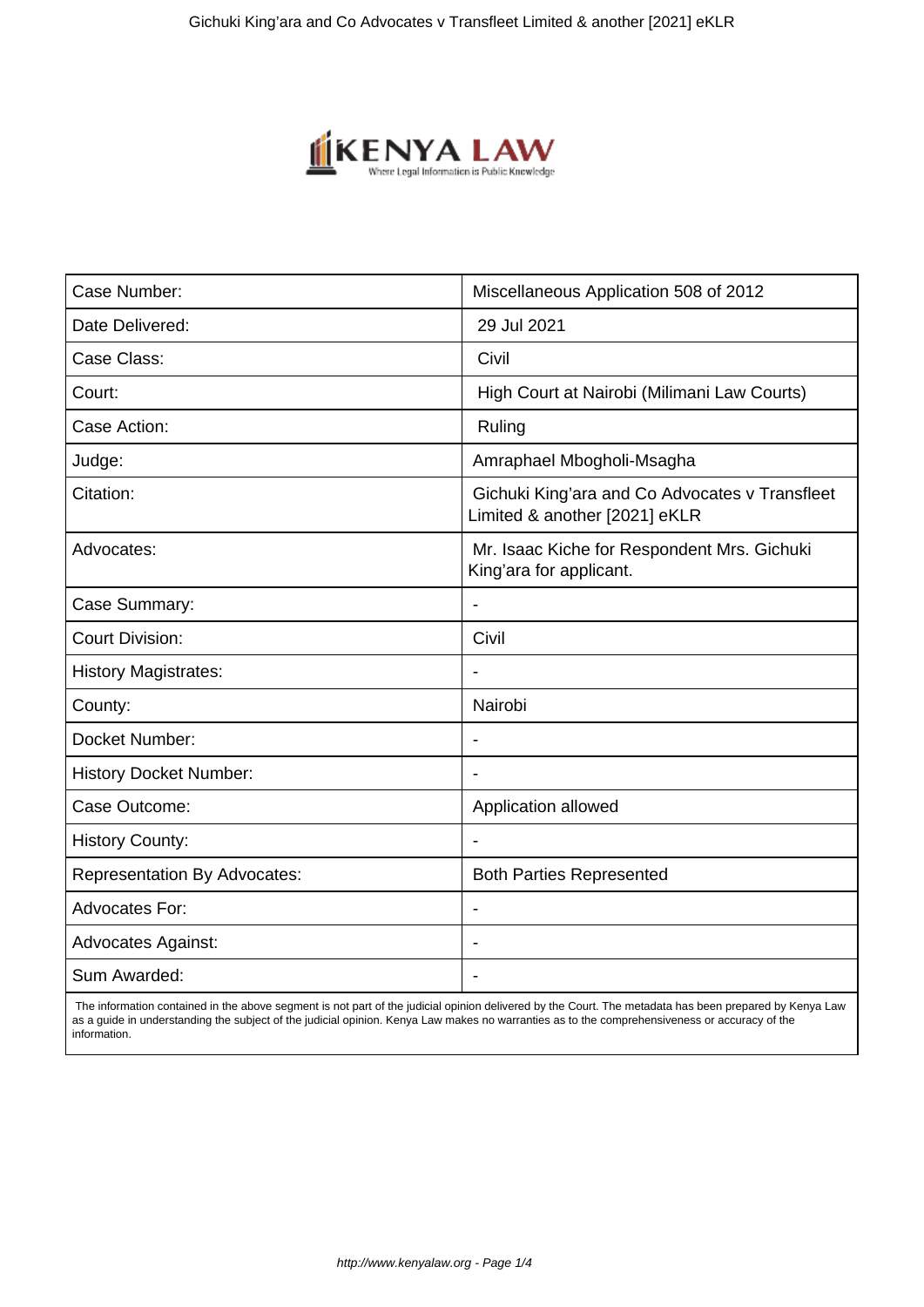

| Case Number:                        | Miscellaneous Application 508 of 2012                                           |
|-------------------------------------|---------------------------------------------------------------------------------|
| Date Delivered:                     | 29 Jul 2021                                                                     |
| Case Class:                         | Civil                                                                           |
| Court:                              | High Court at Nairobi (Milimani Law Courts)                                     |
| Case Action:                        | Ruling                                                                          |
| Judge:                              | Amraphael Mbogholi-Msagha                                                       |
| Citation:                           | Gichuki King'ara and Co Advocates v Transfleet<br>Limited & another [2021] eKLR |
| Advocates:                          | Mr. Isaac Kiche for Respondent Mrs. Gichuki<br>King'ara for applicant.          |
| Case Summary:                       | $\blacksquare$                                                                  |
| <b>Court Division:</b>              | Civil                                                                           |
| <b>History Magistrates:</b>         |                                                                                 |
| County:                             | Nairobi                                                                         |
| Docket Number:                      | $\overline{\phantom{a}}$                                                        |
| <b>History Docket Number:</b>       |                                                                                 |
| Case Outcome:                       | Application allowed                                                             |
| <b>History County:</b>              |                                                                                 |
| <b>Representation By Advocates:</b> | <b>Both Parties Represented</b>                                                 |
| <b>Advocates For:</b>               |                                                                                 |
| <b>Advocates Against:</b>           |                                                                                 |
| Sum Awarded:                        |                                                                                 |

 The information contained in the above segment is not part of the judicial opinion delivered by the Court. The metadata has been prepared by Kenya Law as a guide in understanding the subject of the judicial opinion. Kenya Law makes no warranties as to the comprehensiveness or accuracy of the information.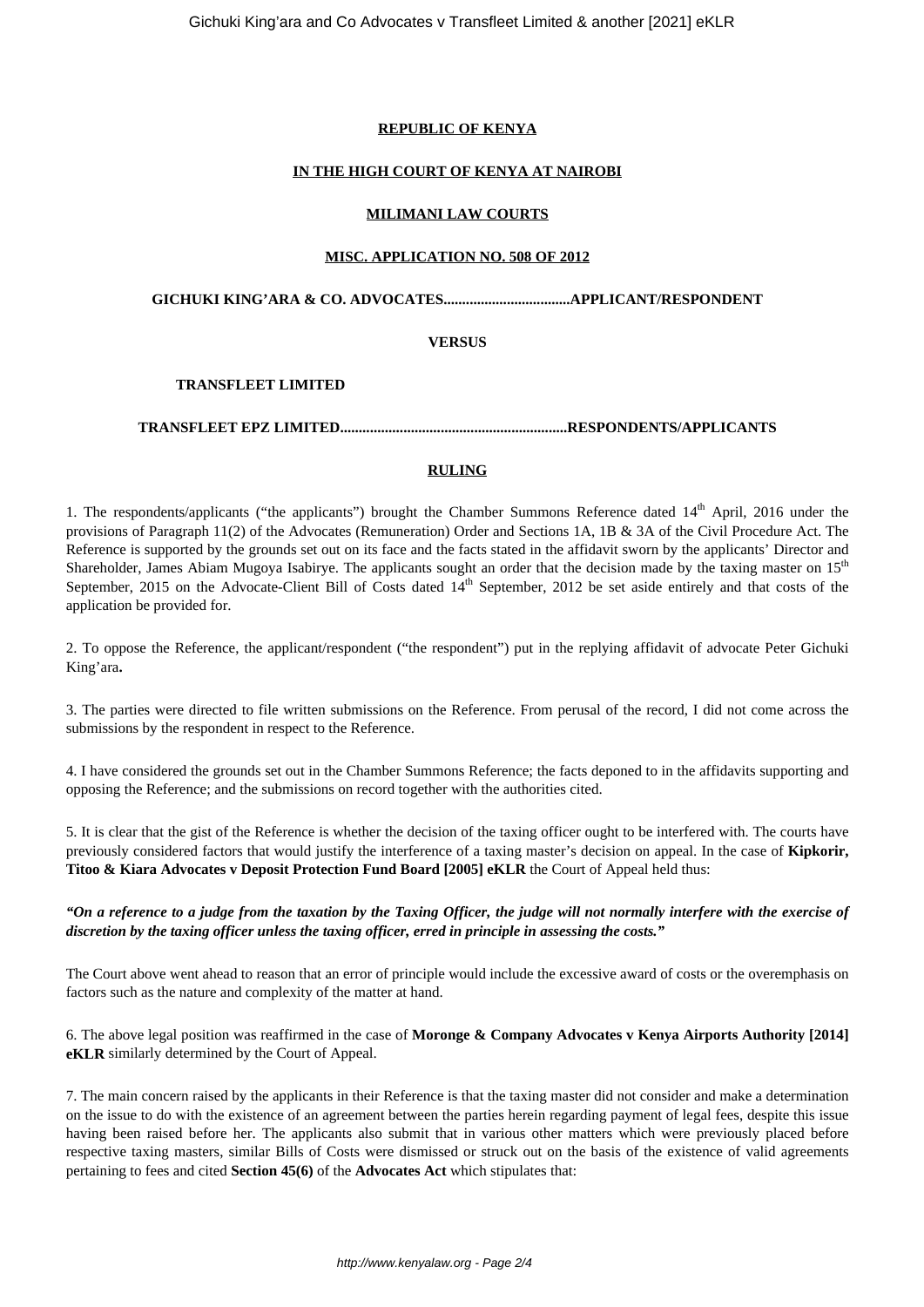#### **REPUBLIC OF KENYA**

## **IN THE HIGH COURT OF KENYA AT NAIROBI**

#### **MILIMANI LAW COURTS**

#### **MISC. APPLICATION NO. 508 OF 2012**

**GICHUKI KING'ARA & CO. ADVOCATES..................................APPLICANT/RESPONDENT**

#### **VERSUS**

## **TRANSFLEET LIMITED**

#### **TRANSFLEET EPZ LIMITED.............................................................RESPONDENTS/APPLICANTS**

#### **RULING**

1. The respondents/applicants ("the applicants") brought the Chamber Summons Reference dated 14<sup>th</sup> April, 2016 under the provisions of Paragraph 11(2) of the Advocates (Remuneration) Order and Sections 1A, 1B & 3A of the Civil Procedure Act. The Reference is supported by the grounds set out on its face and the facts stated in the affidavit sworn by the applicants' Director and Shareholder, James Abiam Mugoya Isabirye. The applicants sought an order that the decision made by the taxing master on 15<sup>th</sup> September, 2015 on the Advocate-Client Bill of Costs dated 14<sup>th</sup> September, 2012 be set aside entirely and that costs of the application be provided for.

2. To oppose the Reference, the applicant/respondent ("the respondent") put in the replying affidavit of advocate Peter Gichuki King'ara**.**

3. The parties were directed to file written submissions on the Reference. From perusal of the record, I did not come across the submissions by the respondent in respect to the Reference.

4. I have considered the grounds set out in the Chamber Summons Reference; the facts deponed to in the affidavits supporting and opposing the Reference; and the submissions on record together with the authorities cited.

5. It is clear that the gist of the Reference is whether the decision of the taxing officer ought to be interfered with. The courts have previously considered factors that would justify the interference of a taxing master's decision on appeal. In the case of **Kipkorir, Titoo & Kiara Advocates v Deposit Protection Fund Board [2005] eKLR** the Court of Appeal held thus:

*"On a reference to a judge from the taxation by the Taxing Officer, the judge will not normally interfere with the exercise of discretion by the taxing officer unless the taxing officer, erred in principle in assessing the costs."*

The Court above went ahead to reason that an error of principle would include the excessive award of costs or the overemphasis on factors such as the nature and complexity of the matter at hand.

6. The above legal position was reaffirmed in the case of **Moronge & Company Advocates v Kenya Airports Authority [2014] eKLR** similarly determined by the Court of Appeal.

7. The main concern raised by the applicants in their Reference is that the taxing master did not consider and make a determination on the issue to do with the existence of an agreement between the parties herein regarding payment of legal fees, despite this issue having been raised before her. The applicants also submit that in various other matters which were previously placed before respective taxing masters, similar Bills of Costs were dismissed or struck out on the basis of the existence of valid agreements pertaining to fees and cited **Section 45(6)** of the **Advocates Act** which stipulates that: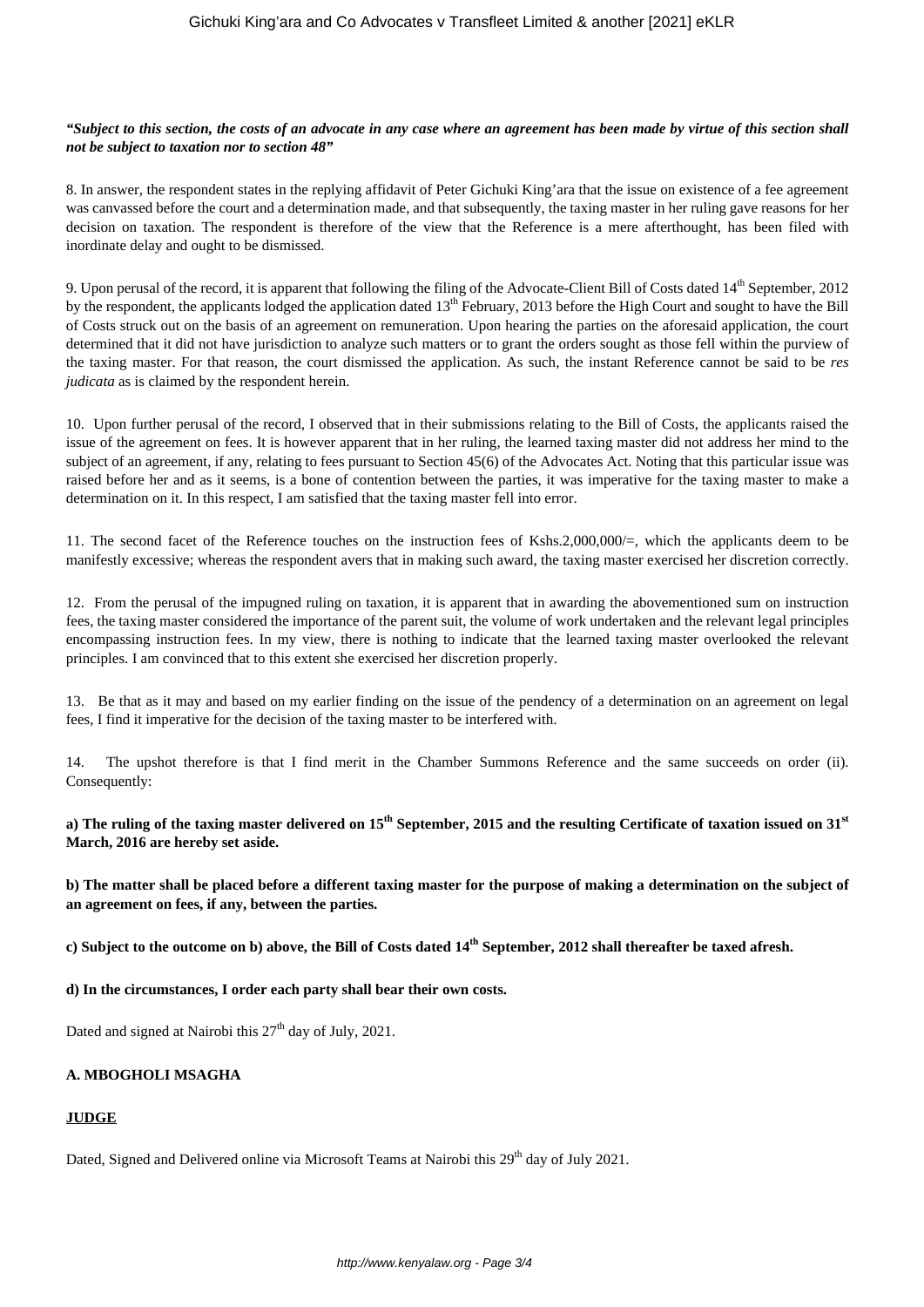### *"Subject to this section, the costs of an advocate in any case where an agreement has been made by virtue of this section shall not be subject to taxation nor to section 48"*

8. In answer, the respondent states in the replying affidavit of Peter Gichuki King'ara that the issue on existence of a fee agreement was canvassed before the court and a determination made, and that subsequently, the taxing master in her ruling gave reasons for her decision on taxation. The respondent is therefore of the view that the Reference is a mere afterthought, has been filed with inordinate delay and ought to be dismissed.

9. Upon perusal of the record, it is apparent that following the filing of the Advocate-Client Bill of Costs dated  $14<sup>th</sup>$  September, 2012 by the respondent, the applicants lodged the application dated 13<sup>th</sup> February, 2013 before the High Court and sought to have the Bill of Costs struck out on the basis of an agreement on remuneration. Upon hearing the parties on the aforesaid application, the court determined that it did not have jurisdiction to analyze such matters or to grant the orders sought as those fell within the purview of the taxing master. For that reason, the court dismissed the application. As such, the instant Reference cannot be said to be *res judicata* as is claimed by the respondent herein.

10. Upon further perusal of the record, I observed that in their submissions relating to the Bill of Costs, the applicants raised the issue of the agreement on fees. It is however apparent that in her ruling, the learned taxing master did not address her mind to the subject of an agreement, if any, relating to fees pursuant to Section 45(6) of the Advocates Act. Noting that this particular issue was raised before her and as it seems, is a bone of contention between the parties, it was imperative for the taxing master to make a determination on it. In this respect, I am satisfied that the taxing master fell into error.

11. The second facet of the Reference touches on the instruction fees of Kshs.2,000,000/=, which the applicants deem to be manifestly excessive; whereas the respondent avers that in making such award, the taxing master exercised her discretion correctly.

12. From the perusal of the impugned ruling on taxation, it is apparent that in awarding the abovementioned sum on instruction fees, the taxing master considered the importance of the parent suit, the volume of work undertaken and the relevant legal principles encompassing instruction fees. In my view, there is nothing to indicate that the learned taxing master overlooked the relevant principles. I am convinced that to this extent she exercised her discretion properly.

13. Be that as it may and based on my earlier finding on the issue of the pendency of a determination on an agreement on legal fees, I find it imperative for the decision of the taxing master to be interfered with.

14. The upshot therefore is that I find merit in the Chamber Summons Reference and the same succeeds on order (ii). Consequently:

**a) The ruling of the taxing master delivered on 15th September, 2015 and the resulting Certificate of taxation issued on 31st March, 2016 are hereby set aside.**

**b) The matter shall be placed before a different taxing master for the purpose of making a determination on the subject of an agreement on fees, if any, between the parties.** 

**c) Subject to the outcome on b) above, the Bill of Costs dated 14th September, 2012 shall thereafter be taxed afresh.** 

**d) In the circumstances, I order each party shall bear their own costs.**

Dated and signed at Nairobi this  $27<sup>th</sup>$  day of July, 2021.

# **A. MBOGHOLI MSAGHA**

## **JUDGE**

Dated, Signed and Delivered online via Microsoft Teams at Nairobi this 29<sup>th</sup> day of July 2021.